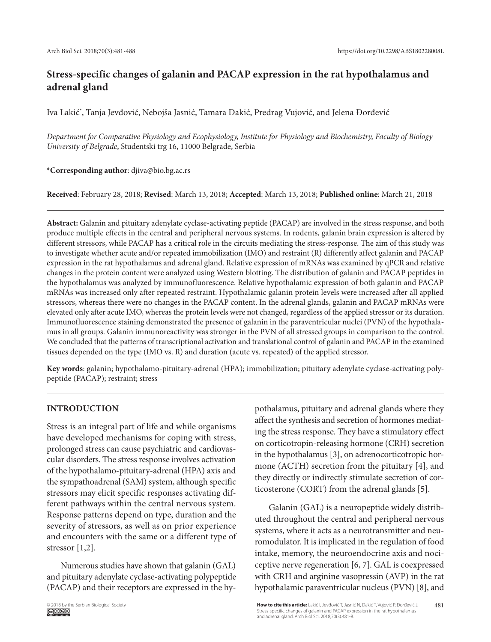# **Stress-specific changes of galanin and PACAP expression in the rat hypothalamus and adrenal gland**

Iva Lakić\* , Tanja Jevđović, Nebojša Jasnić, Tamara Dakić, Predrag Vujović, and Jelena Đorđević

*Department for Comparative Physiology and Ecophysiology, Institute for Physiology and Biochemistry, Faculty of Biology University of Belgrade*, Studentski trg 16, 11000 Belgrade, Serbia

**\*Corresponding author**: djiva@bio.bg.ac.rs

**Received**: February 28, 2018; **Revised**: March 13, 2018; **Accepted**: March 13, 2018; **Published online**: March 21, 2018

**Abstract:** Galanin and pituitary adenylate cyclase-activating peptide (PACAP) are involved in the stress response, and both produce multiple effects in the central and peripheral nervous systems. In rodents, galanin brain expression is altered by different stressors, while PACAP has a critical role in the circuits mediating the stress-response. The aim of this study was to investigate whether acute and/or repeated immobilization (IMO) and restraint (R) differently affect galanin and PACAP expression in the rat hypothalamus and adrenal gland. Relative expression of mRNAs was examined by qPCR and relative changes in the protein content were analyzed using Western blotting. The distribution of galanin and PACAP peptides in the hypothalamus was analyzed by immunofluorescence. Relative hypothalamic expression of both galanin and PACAP mRNAs was increased only after repeated restraint. Hypothalamic galanin protein levels were increased after all applied stressors, whereas there were no changes in the PACAP content. In the adrenal glands, galanin and PACAP mRNAs were elevated only after acute IMO, whereas the protein levels were not changed, regardless of the applied stressor or its duration. Immunofluorescence staining demonstrated the presence of galanin in the paraventricular nuclei (PVN) of the hypothalamus in all groups. Galanin immunoreactivity was stronger in the PVN of all stressed groups in comparison to the control. We concluded that the patterns of transcriptional activation and translational control of galanin and PACAP in the examined tissues depended on the type (IMO vs. R) and duration (acute vs. repeated) of the applied stressor.

**Key words**: galanin; hypothalamo-pituitary-adrenal (HPA); immobilization; pituitary adenylate cyclase-activating polypeptide (PACAP); restraint; stress

# **Introduction**

Stress is an integral part of life and while organisms have developed mechanisms for coping with stress, prolonged stress can cause psychiatric and cardiovascular disorders. The stress response involves activation of the hypothalamo-pituitary-adrenal (HPA) axis and the sympathoadrenal (SAM) system, although specific stressors may elicit specific responses activating different pathways within the central nervous system. Response patterns depend on type, duration and the severity of stressors, as well as on prior experience and encounters with the same or a different type of stressor [1,2].

Numerous studies have shown that galanin (GAL) and pituitary adenylate cyclase-activating polypeptide (PACAP) and their receptors are expressed in the hypothalamus, pituitary and adrenal glands where they affect the synthesis and secretion of hormones mediating the stress response. They have a stimulatory effect on corticotropin-releasing hormone (CRH) secretion in the hypothalamus [3], on adrenocorticotropic hormone (ACTH) secretion from the pituitary [4], and they directly or indirectly stimulate secretion of corticosterone (CORT) from the adrenal glands [5].

Galanin (GAL) is a neuropeptide widely distributed throughout the central and peripheral nervous systems, where it acts as a neurotransmitter and neuromodulator. It is implicated in the regulation of food intake, memory, the neuroendocrine axis and nociceptive nerve regeneration [6, 7]. GAL is coexpressed with CRH and arginine vasopressin (AVP) in the rat hypothalamic paraventricular nucleus (PVN) [8], and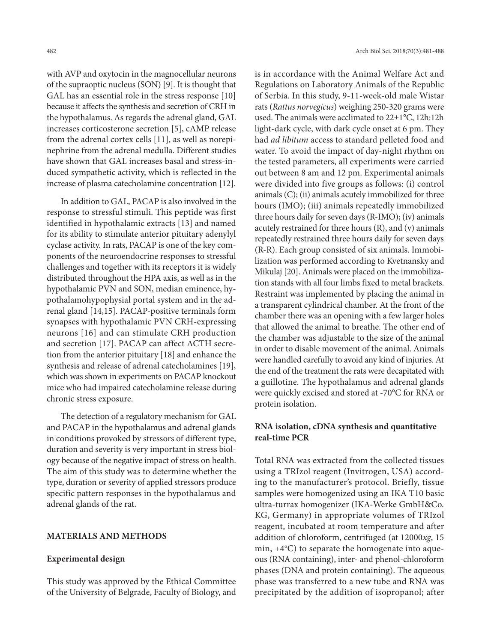with AVP and oxytocin in the magnocellular neurons of the supraoptic nucleus (SON) [9]. It is thought that GAL has an essential role in the stress response [10] because it affects the synthesis and secretion of CRH in the hypothalamus. As regards the adrenal gland, GAL increases corticosterone secretion [5], cAMP release from the adrenal cortex cells [11], as well as norepinephrine from the adrenal medulla. Different studies have shown that GAL increases basal and stress-induced sympathetic activity, which is reflected in the increase of plasma catecholamine concentration [12].

In addition to GAL, PACAP is also involved in the response to stressful stimuli. This peptide was first identified in hypothalamic extracts [13] and named for its ability to stimulate anterior pituitary adenylyl cyclase activity. In rats, PACAP is one of the key components of the neuroendocrine responses to stressful challenges and together with its receptors it is widely distributed throughout the HPA axis, as well as in the hypothalamic PVN and SON, median eminence, hypothalamohypophysial portal system and in the adrenal gland [14,15]. PACAP-positive terminals form synapses with hypothalamic PVN CRH-expressing neurons [16] and can stimulate CRH production and secretion [17]. PACAP can affect ACTH secretion from the anterior pituitary [18] and enhance the synthesis and release of adrenal catecholamines [19], which was shown in experiments on PACAP knockout mice who had impaired catecholamine release during chronic stress exposure.

The detection of a regulatory mechanism for GAL and PACAP in the hypothalamus and adrenal glands in conditions provoked by stressors of different type, duration and severity is very important in stress biology because of the negative impact of stress on health. The aim of this study was to determine whether the type, duration or severity of applied stressors produce specific pattern responses in the hypothalamus and adrenal glands of the rat.

### **MaterialS and methods**

#### **Experimental design**

This study was approved by the Ethical Committee of the University of Belgrade, Faculty of Biology, and is in accordance with the Animal Welfare Act and Regulations on Laboratory Animals of the Republic of Serbia. In this study, 9-11-week-old male Wistar rats (*Rattus norvegicus*) weighing 250-320 grams were used. The animals were acclimated to 22±1°C, 12h:12h light-dark cycle, with dark cycle onset at 6 pm. They had *ad libitum* access to standard pelleted food and water. To avoid the impact of day-night rhythm on the tested parameters, all experiments were carried out between 8 am and 12 pm. Experimental animals were divided into five groups as follows: (i) control animals (C); (ii) animals acutely immobilized for three hours (IMO); (iii) animals repeatedly immobilized three hours daily for seven days (R-IMO); (iv) animals acutely restrained for three hours (R), and (v) animals repeatedly restrained three hours daily for seven days (R-R). Each group consisted of six animals. Immobilization was performed according to Kvetnansky and Mikulaj [20]. Animals were placed on the immobilization stands with all four limbs fixed to metal brackets. Restraint was implemented by placing the animal in a transparent cylindrical chamber. At the front of the chamber there was an opening with a few larger holes that allowed the animal to breathe. The other end of the chamber was adjustable to the size of the animal in order to disable movement of the animal. Animals were handled carefully to avoid any kind of injuries. At the end of the treatment the rats were decapitated with a guillotine. The hypothalamus and adrenal glands were quickly excised and stored at -70°C for RNA or protein isolation.

# **RNA isolation, cDNA synthesis and quantitative real-time PCR**

Total RNA was extracted from the collected tissues using a TRIzol reagent (Invitrogen, USA) according to the manufacturer's protocol. Briefly, tissue samples were homogenized using an IKA T10 basic ultra-turrax homogenizer (IKA-Werke GmbH&Co. KG, Germany) in appropriate volumes of TRIzol reagent, incubated at room temperature and after addition of chloroform, centrifuged (at 12000*xg*, 15 min, +4°C) to separate the homogenate into aqueous (RNA containing), inter- and phenol-chloroform phases (DNA and protein containing). The aqueous phase was transferred to a new tube and RNA was precipitated by the addition of isopropanol; after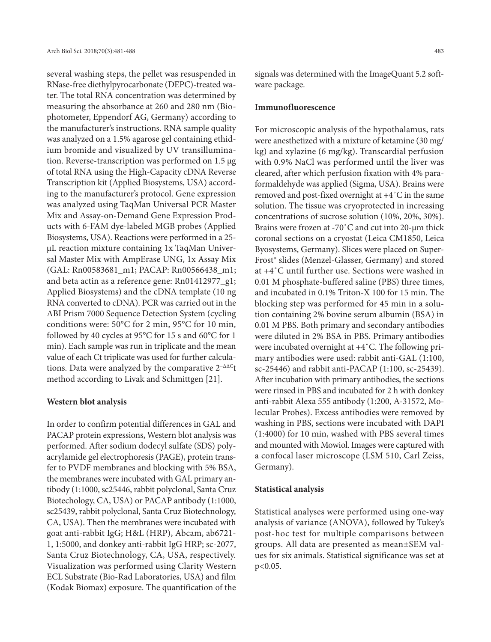several washing steps, the pellet was resuspended in RNase-free diethylpyrocarbonate (DEPC)-treated water. The total RNA concentration was determined by measuring the absorbance at 260 and 280 nm (Biophotometer, Eppendorf AG, Germany) according to the manufacturer's instructions. RNA sample quality was analyzed on a 1.5% agarose gel containing ethidium bromide and visualized by UV transillumination. Reverse-transcription was performed on 1.5 µg of total RNA using the High-Capacity cDNA Reverse Transcription kit (Applied Biosystems, USA) according to the manufacturer's protocol. Gene expression was analyzed using TaqMan Universal PCR Master Mix and Assay-on-Demand Gene Expression Products with 6-FAM dye-labeled MGB probes (Applied Biosystems, USA). Reactions were performed in a 25 μL reaction mixture containing 1x TaqMan Universal Master Mix with AmpErase UNG, 1x Assay Mix (GAL: Rn00583681\_m1; PACAP: Rn00566438\_m1; and beta actin as a reference gene: Rn01412977\_g1; Applied Biosystems) and the cDNA template (10 ng RNA converted to cDNA). PCR was carried out in the ABI Prism 7000 Sequence Detection System (cycling conditions were: 50°C for 2 min, 95°C for 10 min, followed by 40 cycles at 95°C for 15 s and 60°C for 1 min). Each sample was run in triplicate and the mean value of each Ct triplicate was used for further calculations. Data were analyzed by the comparative 2<sup>-∆∆C</sup>t method according to Livak and Schmittgen [21].

#### **Western blot analysis**

In order to confirm potential differences in GAL and PACAP protein expressions, Western blot analysis was performed. After sodium dodecyl sulfate (SDS) polyacrylamide gel electrophoresis (PAGE), protein transfer to PVDF membranes and blocking with 5% BSA, the membranes were incubated with GAL primary antibody (1:1000, sc25446, rabbit polyclonal, Santa Cruz Biotechology, CA, USA) or PACAP antibody (1:1000, sc25439, rabbit polyclonal, Santa Cruz Biotechnology, CA, USA). Then the membranes were incubated with goat anti-rabbit IgG; H&L (HRP), Abcam, ab6721- 1, 1:5000, and donkey anti-rabbit IgG HRP; sc-2077, Santa Cruz Biotechnology, CA, USA, respectively. Visualization was performed using Clarity Western ECL Substrate (Bio-Rad Laboratories, USA) and film (Kodak Biomax) exposure. The quantification of the signals was determined with the ImageQuant 5.2 software package.

#### **Immunofluorescence**

For microscopic analysis of the hypothalamus, rats were anesthetized with a mixture of ketamine (30 mg/ kg) and xylazine (6 mg/kg). Transcardial perfusion with 0.9% NaCl was performed until the liver was cleared, after which perfusion fixation with 4% paraformaldehyde was applied (Sigma, USA). Brains were removed and post-fixed overnight at +4˚C in the same solution. The tissue was cryoprotected in increasing concentrations of sucrose solution (10%, 20%, 30%). Brains were frozen at -70˚C and cut into 20-µm thick coronal sections on a cryostat (Leica CM1850, Leica Byosystems, Germany). Slices were placed on Super-Frost® slides (Menzel-Glasser, Germany) and stored at +4˚C until further use. Sections were washed in 0.01 M phosphate-buffered saline (PBS) three times, and incubated in 0.1% Triton-X 100 for 15 min. The blocking step was performed for 45 min in a solution containing 2% bovine serum albumin (BSA) in 0.01 M PBS. Both primary and secondary antibodies were diluted in 2% BSA in PBS. Primary antibodies were incubated overnight at +4˚C. The following primary antibodies were used: rabbit anti-GAL (1:100, sc-25446) and rabbit anti-PACAP (1:100, sc-25439). After incubation with primary antibodies, the sections were rinsed in PBS and incubated for 2 h with donkey anti-rabbit Alexa 555 antibody (1:200, A-31572, Molecular Probes). Excess antibodies were removed by washing in PBS, sections were incubated with DAPI (1:4000) for 10 min, washed with PBS several times and mounted with Mowiol. Images were captured with a confocal laser microscope (LSM 510, Carl Zeiss, Germany).

#### **Statistical analysis**

Statistical analyses were performed using one-way analysis of variance (ANOVA), followed by Tukey's post-hoc test for multiple comparisons between groups. All data are presented as mean±SEM values for six animals. Statistical significance was set at p<0.05.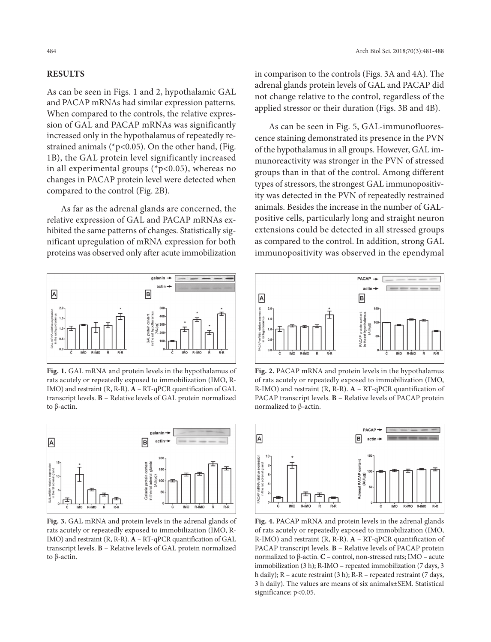# **Results**

As can be seen in Figs. 1 and 2, hypothalamic GAL and PACAP mRNAs had similar expression patterns. When compared to the controls, the relative expression of GAL and PACAP mRNAs was significantly increased only in the hypothalamus of repeatedly restrained animals ( $p<0.05$ ). On the other hand, (Fig. 1B), the GAL protein level significantly increased in all experimental groups ( $p<0.05$ ), whereas no changes in PACAP protein level were detected when compared to the control (Fig. 2B).

As far as the adrenal glands are concerned, the relative expression of GAL and PACAP mRNAs exhibited the same patterns of changes. Statistically significant upregulation of mRNA expression for both proteins was observed only after acute immobilization



**Fig. 1.** GAL mRNA and protein levels in the hypothalamus of rats acutely or repeatedly exposed to immobilization (IMO, R-IMO) and restraint (R, R-R). **A** – RT-qPCR quantification of GAL transcript levels. **B** – Relative levels of GAL protein normalized to β-actin.



**Fig. 3.** GAL mRNA and protein levels in the adrenal glands of rats acutely or repeatedly exposed to immobilization (IMO, R-IMO) and restraint (R, R-R). **A** – RT-qPCR quantification of GAL transcript levels. **B** – Relative levels of GAL protein normalized to β-actin.

in comparison to the controls (Figs. 3A and 4A). The adrenal glands protein levels of GAL and PACAP did not change relative to the control, regardless of the applied stressor or their duration (Figs. 3B and 4B).

As can be seen in Fig. 5, GAL-immunofluorescence staining demonstrated its presence in the PVN of the hypothalamus in all groups. However, GAL immunoreactivity was stronger in the PVN of stressed groups than in that of the control. Among different types of stressors, the strongest GAL immunopositivity was detected in the PVN of repeatedly restrained animals. Besides the increase in the number of GALpositive cells, particularly long and straight neuron extensions could be detected in all stressed groups as compared to the control. In addition, strong GAL immunopositivity was observed in the ependymal



**Fig. 2.** PACAP mRNA and protein levels in the hypothalamus of rats acutely or repeatedly exposed to immobilization (IMO, R-IMO) and restraint (R, R-R). **A** – RT-qPCR quantification of PACAP transcript levels. **B** – Relative levels of PACAP protein normalized to β-actin.



**Fig. 4.** PACAP mRNA and protein levels in the adrenal glands of rats acutely or repeatedly exposed to immobilization (IMO, R-IMO) and restraint (R, R-R). **A** – RT-qPCR quantification of PACAP transcript levels. **B** – Relative levels of PACAP protein normalized to β-actin. **C** – control, non-stressed rats; IMO – acute immobilization (3 h); R-IMO – repeated immobilization (7 days, 3 h daily); R – acute restraint (3 h); R-R – repeated restraint (7 days, 3 h daily). The values are means of six animals±SEM. Statistical significance: p<0.05.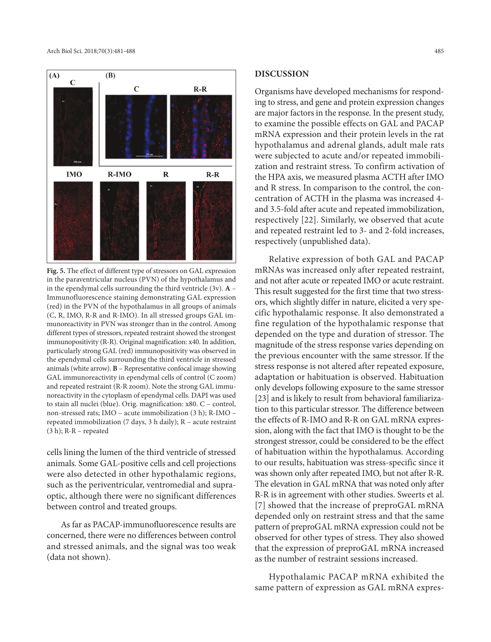

**Fig. 5.** The effect of different type of stressors on GAL expression in the paraventricular nucleus (PVN) of the hypothalamus and in the ependymal cells surrounding the third ventricle (3v). **A** – Immunofluorescence staining demonstrating GAL expression (red) in the PVN of the hypothalamus in all groups of animals (C, R, IMO, R-R and R-IMO). In all stressed groups GAL immunoreactivity in PVN was stronger than in the control. Among different types of stressors, repeated restraint showed the strongest immunopositivity (R-R). Original magnification: x40. In addition, particularly strong GAL (red) immunopositivity was observed in the ependymal cells surrounding the third ventricle in stressed animals (white arrow). **B** – Representative confocal image showing GAL immunoreactivity in ependymal cells of control (C zoom) and repeated restraint (R-R zoom). Note the strong GAL immunoreactivity in the cytoplasm of ependymal cells. DAPI was used to stain all nuclei (blue). Orig. magnification: x80. C – control, non-stressed rats; IMO – acute immobilization (3 h); R-IMO – repeated immobilization (7 days, 3 h daily); R – acute restraint (3 h); R-R – repeated

cells lining the lumen of the third ventricle of stressed animals. Some GAL-positive cells and cell projections were also detected in other hypothalamic regions, such as the periventricular, ventromedial and supraoptic, although there were no significant differences between control and treated groups.

As far as PACAP-immunofluorescence results are concerned, there were no differences between control and stressed animals, and the signal was too weak (data not shown).

### **Discussion**

Organisms have developed mechanisms for responding to stress, and gene and protein expression changes are major factors in the response. In the present study, to examine the possible effects on GAL and PACAP mRNA expression and their protein levels in the rat hypothalamus and adrenal glands, adult male rats were subjected to acute and/or repeated immobilization and restraint stress. To confirm activation of the HPA axis, we measured plasma ACTH after IMO and R stress. In comparison to the control, the concentration of ACTH in the plasma was increased 4 and 3.5-fold after acute and repeated immobilization, respectively [22]. Similarly, we observed that acute and repeated restraint led to 3- and 2-fold increases, respectively (unpublished data).

Relative expression of both GAL and PACAP mRNAs was increased only after repeated restraint, and not after acute or repeated IMO or acute restraint. This result suggested for the first time that two stressors, which slightly differ in nature, elicited a very specific hypothalamic response. It also demonstrated a fine regulation of the hypothalamic response that depended on the type and duration of stressor. The magnitude of the stress response varies depending on the previous encounter with the same stressor. If the stress response is not altered after repeated exposure, adaptation or habituation is observed. Habituation only develops following exposure to the same stressor [23] and is likely to result from behavioral familiarization to this particular stressor. The difference between the effects of R-IMO and R-R on GAL mRNA expression, along with the fact that IMO is thought to be the strongest stressor, could be considered to be the effect of habituation within the hypothalamus. According to our results, habituation was stress-specific since it was shown only after repeated IMO, but not after R-R. The elevation in GAL mRNA that was noted only after R-R is in agreement with other studies. Sweerts et al. [7] showed that the increase of preproGAL mRNA depended only on restraint stress and that the same pattern of preproGAL mRNA expression could not be observed for other types of stress. They also showed that the expression of preproGAL mRNA increased as the number of restraint sessions increased.

Hypothalamic PACAP mRNA exhibited the same pattern of expression as GAL mRNA expres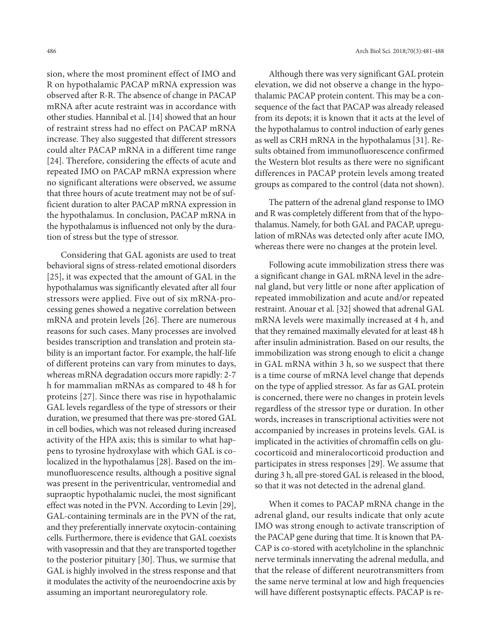sion, where the most prominent effect of IMO and R on hypothalamic PACAP mRNA expression was observed after R-R. The absence of change in PACAP mRNA after acute restraint was in accordance with other studies. Hannibal et al. [14] showed that an hour of restraint stress had no effect on PACAP mRNA increase. They also suggested that different stressors could alter PACAP mRNA in a different time range [24]. Therefore, considering the effects of acute and repeated IMO on PACAP mRNA expression where no significant alterations were observed, we assume that three hours of acute treatment may not be of sufficient duration to alter PACAP mRNA expression in the hypothalamus. In conclusion, PACAP mRNA in the hypothalamus is influenced not only by the duration of stress but the type of stressor.

Considering that GAL agonists are used to treat behavioral signs of stress-related emotional disorders [25], it was expected that the amount of GAL in the hypothalamus was significantly elevated after all four stressors were applied. Five out of six mRNA-processing genes showed a negative correlation between mRNA and protein levels [26]. There are numerous reasons for such cases. Many processes are involved besides transcription and translation and protein stability is an important factor. For example, the half-life of different proteins can vary from minutes to days, whereas mRNA degradation occurs more rapidly: 2-7 h for mammalian mRNAs as compared to 48 h for proteins [27]. Since there was rise in hypothalamic GAL levels regardless of the type of stressors or their duration, we presumed that there was pre-stored GAL in cell bodies, which was not released during increased activity of the HPA axis; this is similar to what happens to tyrosine hydroxylase with which GAL is colocalized in the hypothalamus [28]. Based on the immunofluorescence results, although a positive signal was present in the periventricular, ventromedial and supraoptic hypothalamic nuclei, the most significant effect was noted in the PVN. According to Levin [29], GAL-containing terminals are in the PVN of the rat, and they preferentially innervate oxytocin-containing cells. Furthermore, there is evidence that GAL coexists with vasopressin and that they are transported together to the posterior pituitary [30]. Thus, we surmise that GAL is highly involved in the stress response and that it modulates the activity of the neuroendocrine axis by assuming an important neuroregulatory role.

Although there was very significant GAL protein elevation, we did not observe a change in the hypothalamic PACAP protein content. This may be a consequence of the fact that PACAP was already released from its depots; it is known that it acts at the level of the hypothalamus to control induction of early genes as well as CRH mRNA in the hypothalamus [31]. Results obtained from immunofluorescence confirmed the Western blot results as there were no significant differences in PACAP protein levels among treated groups as compared to the control (data not shown).

The pattern of the adrenal gland response to IMO and R was completely different from that of the hypothalamus. Namely, for both GAL and PACAP, upregulation of mRNAs was detected only after acute IMO, whereas there were no changes at the protein level.

Following acute immobilization stress there was a significant change in GAL mRNA level in the adrenal gland, but very little or none after application of repeated immobilization and acute and/or repeated restraint. Anouar et al. [32] showed that adrenal GAL mRNA levels were maximally increased at 4 h, and that they remained maximally elevated for at least 48 h after insulin administration. Based on our results, the immobilization was strong enough to elicit a change in GAL mRNA within 3 h, so we suspect that there is a time course of mRNA level change that depends on the type of applied stressor. As far as GAL protein is concerned, there were no changes in protein levels regardless of the stressor type or duration. In other words, increases in transcriptional activities were not accompanied by increases in proteins levels. GAL is implicated in the activities of chromaffin cells on glucocorticoid and mineralocorticoid production and participates in stress responses [29]. We assume that during 3 h, all pre-stored GAL is released in the blood, so that it was not detected in the adrenal gland.

When it comes to PACAP mRNA change in the adrenal gland, our results indicate that only acute IMO was strong enough to activate transcription of the PACAP gene during that time. It is known that PA-CAP is co-stored with acetylcholine in the splanchnic nerve terminals innervating the adrenal medulla, and that the release of different neurotransmitters from the same nerve terminal at low and high frequencies will have different postsynaptic effects. PACAP is re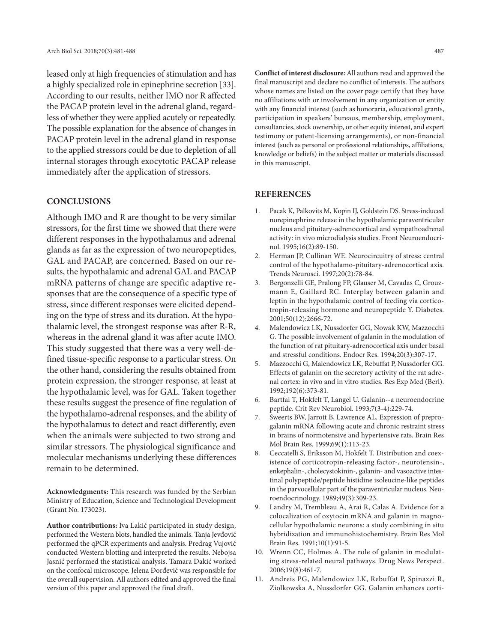leased only at high frequencies of stimulation and has a highly specialized role in epinephrine secretion [33]. According to our results, neither IMO nor R affected the PACAP protein level in the adrenal gland, regardless of whether they were applied acutely or repeatedly. The possible explanation for the absence of changes in PACAP protein level in the adrenal gland in response to the applied stressors could be due to depletion of all internal storages through exocytotic PACAP release immediately after the application of stressors.

## **Conclusions**

Although IMO and R are thought to be very similar stressors, for the first time we showed that there were different responses in the hypothalamus and adrenal glands as far as the expression of two neuropeptides, GAL and PACAP, are concerned. Based on our results, the hypothalamic and adrenal GAL and PACAP mRNA patterns of change are specific adaptive responses that are the consequence of a specific type of stress, since different responses were elicited depending on the type of stress and its duration. At the hypothalamic level, the strongest response was after R-R, whereas in the adrenal gland it was after acute IMO. This study suggested that there was a very well-defined tissue-specific response to a particular stress. On the other hand, considering the results obtained from protein expression, the stronger response, at least at the hypothalamic level, was for GAL. Taken together these results suggest the presence of fine regulation of the hypothalamo-adrenal responses, and the ability of the hypothalamus to detect and react differently, even when the animals were subjected to two strong and similar stressors. The physiological significance and molecular mechanisms underlying these differences remain to be determined.

**Acknowledgments:** This research was funded by the Serbian Ministry of Education, Science and Technological Development (Grant No. 173023).

**Author contributions:** Iva Lakić participated in study design, performed the Western blots, handled the animals. Tanja Jevđović performed the qPCR experiments and analysis. Predrag Vujović conducted Western blotting and interpreted the results. Nebojsa Jasnić performed the statistical analysis. Tamara Dakić worked on the confocal microscope. Jelena Đorđević was responsible for the overall supervision. All authors edited and approved the final version of this paper and approved the final draft.

**Conflict of interest disclosure:** All authors read and approved the final manuscript and declare no conflict of interests. The authors whose names are listed on the cover page certify that they have no affiliations with or involvement in any organization or entity with any financial interest (such as honoraria, educational grants, participation in speakers' bureaus, membership, employment, consultancies, stock ownership, or other equity interest, and expert testimony or patent-licensing arrangements), or non-financial interest (such as personal or professional relationships, affiliations, knowledge or beliefs) in the subject matter or materials discussed in this manuscript.

### **References**

- 1. Pacak K, Palkovits M, Kopin IJ, Goldstein DS. Stress-induced norepinephrine release in the hypothalamic paraventricular nucleus and pituitary-adrenocortical and sympathoadrenal activity: in vivo microdialysis studies. Front Neuroendocrinol. 1995;16(2):89-150.
- 2. Herman JP, Cullinan WE. Neurocircuitry of stress: central control of the hypothalamo-pituitary-adrenocortical axis. Trends Neurosci. 1997;20(2):78-84.
- 3. Bergonzelli GE, Pralong FP, Glauser M, Cavadas C, Grouzmann E, Gaillard RC. Interplay between galanin and leptin in the hypothalamic control of feeding via corticotropin-releasing hormone and neuropeptide Y. Diabetes. 2001;50(12):2666-72.
- 4. Malendowicz LK, Nussdorfer GG, Nowak KW, Mazzocchi G. The possible involvement of galanin in the modulation of the function of rat pituitary-adrenocortical axis under basal and stressful conditions. Endocr Res. 1994;20(3):307-17.
- 5. Mazzocchi G, Malendowicz LK, Rebuffat P, Nussdorfer GG. Effects of galanin on the secretory activity of the rat adrenal cortex: in vivo and in vitro studies. Res Exp Med (Berl). 1992;192(6):373-81.
- 6. Bartfai T, Hokfelt T, Langel U. Galanin--a neuroendocrine peptide. Crit Rev Neurobiol. 1993;7(3-4):229-74.
- 7. Sweerts BW, Jarrott B, Lawrence AL. Expression of preprogalanin mRNA following acute and chronic restraint stress in brains of normotensive and hypertensive rats. Brain Res Mol Brain Res. 1999;69(1):113-23.
- 8. Ceccatelli S, Eriksson M, Hokfelt T. Distribution and coexistence of corticotropin-releasing factor-, neurotensin-, enkephalin-, cholecystokinin-, galanin- and vasoactive intestinal polypeptide/peptide histidine isoleucine-like peptides in the parvocellular part of the paraventricular nucleus. Neuroendocrinology. 1989;49(3):309-23.
- 9. Landry M, Trembleau A, Arai R, Calas A. Evidence for a colocalization of oxytocin mRNA and galanin in magnocellular hypothalamic neurons: a study combining in situ hybridization and immunohistochemistry. Brain Res Mol Brain Res. 1991;10(1):91-5.
- 10. Wrenn CC, Holmes A. The role of galanin in modulating stress-related neural pathways. Drug News Perspect. 2006;19(8):461-7.
- 11. Andreis PG, Malendowicz LK, Rebuffat P, Spinazzi R, Ziolkowska A, Nussdorfer GG. Galanin enhances corti-